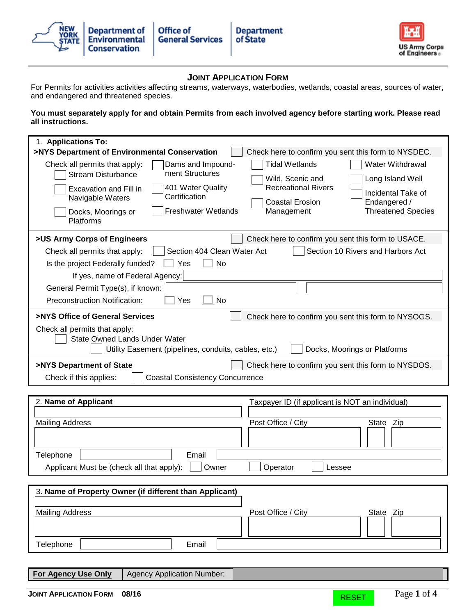



## **JOINT APPLICATION FORM**

For Permits for activities activities affecting streams, waterways, waterbodies, wetlands, coastal areas, sources of water, and endangered and threatened species.

### **You must separately apply for and obtain Permits from each involved agency before starting work. Please read all instructions.**

| 1. Applications To:<br>>NYS Department of Environmental Conservation<br>Check here to confirm you sent this form to NYSDEC.                                                                                                                                                                                                                                                                                                                                                           |  |  |  |  |  |
|---------------------------------------------------------------------------------------------------------------------------------------------------------------------------------------------------------------------------------------------------------------------------------------------------------------------------------------------------------------------------------------------------------------------------------------------------------------------------------------|--|--|--|--|--|
| Check all permits that apply:<br>Dams and Impound-<br>Tidal Wetlands<br><b>Water Withdrawal</b><br>ment Structures<br><b>Stream Disturbance</b><br>Wild, Scenic and<br>Long Island Well<br><b>Recreational Rivers</b><br>401 Water Quality<br>Excavation and Fill in<br>Incidental Take of<br>Certification<br>Navigable Waters<br><b>Coastal Erosion</b><br>Endangered /<br><b>Freshwater Wetlands</b><br><b>Threatened Species</b><br>Management<br>Docks, Moorings or<br>Platforms |  |  |  |  |  |
| >US Army Corps of Engineers<br>Check here to confirm you sent this form to USACE.<br>Section 404 Clean Water Act<br>Section 10 Rivers and Harbors Act<br>Check all permits that apply:<br>Is the project Federally funded?<br>Yes<br>No<br>If yes, name of Federal Agency:<br>General Permit Type(s), if known:<br><b>Preconstruction Notification:</b><br>Yes<br>No                                                                                                                  |  |  |  |  |  |
| >NYS Office of General Services<br>Check here to confirm you sent this form to NYSOGS.<br>Check all permits that apply:<br><b>State Owned Lands Under Water</b><br>Utility Easement (pipelines, conduits, cables, etc.)<br>Docks, Moorings or Platforms                                                                                                                                                                                                                               |  |  |  |  |  |
| >NYS Department of State<br>Check here to confirm you sent this form to NYSDOS.<br><b>Coastal Consistency Concurrence</b><br>Check if this applies:                                                                                                                                                                                                                                                                                                                                   |  |  |  |  |  |
| 2. Name of Applicant<br>Taxpayer ID (if applicant is NOT an individual)<br><b>Mailing Address</b><br>Post Office / City<br>State Zip                                                                                                                                                                                                                                                                                                                                                  |  |  |  |  |  |
| Telephone<br>Email<br>Applicant Must be (check all that apply):<br>Owner<br>Operator<br>Lessee                                                                                                                                                                                                                                                                                                                                                                                        |  |  |  |  |  |
| 3. Name of Property Owner (if different than Applicant)<br><b>Mailing Address</b><br>Post Office / City<br>State Zip                                                                                                                                                                                                                                                                                                                                                                  |  |  |  |  |  |
| Email<br>Telephone<br><b>For Agency Use Only</b><br><b>Agency Application Number:</b>                                                                                                                                                                                                                                                                                                                                                                                                 |  |  |  |  |  |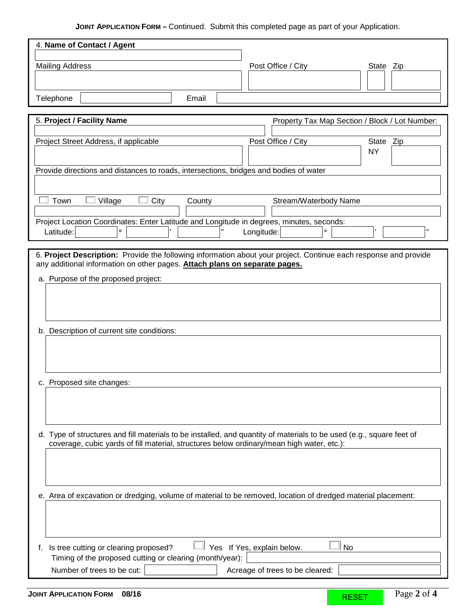# **JOINT APPLICATION FORM –** Continued. Submit this completed page as part of your Application.

| 4. Name of Contact / Agent                                                                                                                                                                     |   |
|------------------------------------------------------------------------------------------------------------------------------------------------------------------------------------------------|---|
|                                                                                                                                                                                                |   |
| <b>Mailing Address</b><br>Post Office / City<br>State Zip                                                                                                                                      |   |
|                                                                                                                                                                                                |   |
| Telephone<br>Email                                                                                                                                                                             |   |
|                                                                                                                                                                                                |   |
| 5. Project / Facility Name<br>Property Tax Map Section / Block / Lot Number:                                                                                                                   |   |
|                                                                                                                                                                                                |   |
| Project Street Address, if applicable<br>Post Office / City<br>State Zip                                                                                                                       |   |
| <b>NY</b>                                                                                                                                                                                      |   |
| Provide directions and distances to roads, intersections, bridges and bodies of water                                                                                                          |   |
|                                                                                                                                                                                                |   |
|                                                                                                                                                                                                |   |
| Town<br>City<br>Village<br>Stream/Waterbody Name<br>County                                                                                                                                     |   |
|                                                                                                                                                                                                |   |
| Project Location Coordinates: Enter Latitude and Longitude in degrees, minutes, seconds:<br>$\circ$                                                                                            | H |
| Latitude:<br>Longitude:                                                                                                                                                                        |   |
|                                                                                                                                                                                                |   |
| 6. Project Description: Provide the following information about your project. Continue each response and provide<br>any additional information on other pages. Attach plans on separate pages. |   |
|                                                                                                                                                                                                |   |
| a. Purpose of the proposed project:                                                                                                                                                            |   |
|                                                                                                                                                                                                |   |
|                                                                                                                                                                                                |   |
|                                                                                                                                                                                                |   |
| b. Description of current site conditions:                                                                                                                                                     |   |
|                                                                                                                                                                                                |   |
|                                                                                                                                                                                                |   |
|                                                                                                                                                                                                |   |
| c. Proposed site changes:                                                                                                                                                                      |   |
|                                                                                                                                                                                                |   |
|                                                                                                                                                                                                |   |
|                                                                                                                                                                                                |   |
|                                                                                                                                                                                                |   |
| d. Type of structures and fill materials to be installed, and quantity of materials to be used (e.g., square feet of                                                                           |   |
| coverage, cubic yards of fill material, structures below ordinary/mean high water, etc.):                                                                                                      |   |
|                                                                                                                                                                                                |   |
|                                                                                                                                                                                                |   |
|                                                                                                                                                                                                |   |
| e. Area of excavation or dredging, volume of material to be removed, location of dredged material placement:                                                                                   |   |
|                                                                                                                                                                                                |   |
|                                                                                                                                                                                                |   |
|                                                                                                                                                                                                |   |
|                                                                                                                                                                                                |   |
|                                                                                                                                                                                                |   |
| Yes If Yes, explain below.<br>f. Is tree cutting or clearing proposed?<br>No<br>Timing of the proposed cutting or clearing (month/year):                                                       |   |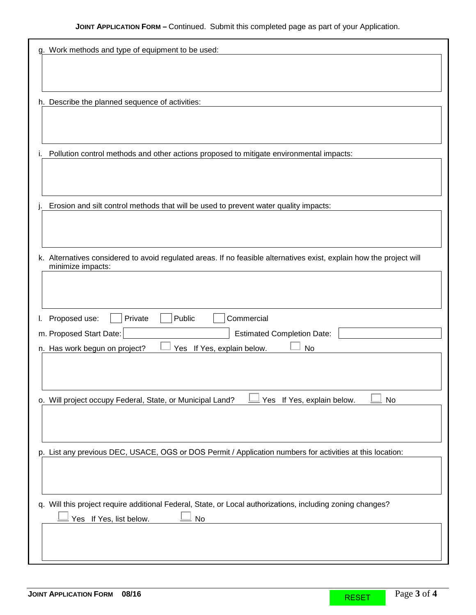| g. Work methods and type of equipment to be used:                                                                    |
|----------------------------------------------------------------------------------------------------------------------|
|                                                                                                                      |
|                                                                                                                      |
|                                                                                                                      |
| h. Describe the planned sequence of activities:                                                                      |
|                                                                                                                      |
|                                                                                                                      |
|                                                                                                                      |
| Pollution control methods and other actions proposed to mitigate environmental impacts:                              |
|                                                                                                                      |
|                                                                                                                      |
|                                                                                                                      |
| Erosion and silt control methods that will be used to prevent water quality impacts:                                 |
|                                                                                                                      |
|                                                                                                                      |
|                                                                                                                      |
| k. Alternatives considered to avoid regulated areas. If no feasible alternatives exist, explain how the project will |
| minimize impacts:                                                                                                    |
|                                                                                                                      |
|                                                                                                                      |
|                                                                                                                      |
| Public<br>Commercial<br>Private<br>Proposed use:                                                                     |
| m. Proposed Start Date:<br><b>Estimated Completion Date:</b>                                                         |
| n. Has work begun on project?<br>Yes If Yes, explain below.<br>No                                                    |
|                                                                                                                      |
|                                                                                                                      |
|                                                                                                                      |
| Yes If Yes, explain below.<br>o. Will project occupy Federal, State, or Municipal Land?<br>No                        |
|                                                                                                                      |
|                                                                                                                      |
|                                                                                                                      |
|                                                                                                                      |
| p. List any previous DEC, USACE, OGS or DOS Permit / Application numbers for activities at this location:            |
|                                                                                                                      |
|                                                                                                                      |
|                                                                                                                      |
| q. Will this project require additional Federal, State, or Local authorizations, including zoning changes?           |
| Yes If Yes, list below.<br>No                                                                                        |
|                                                                                                                      |
|                                                                                                                      |
|                                                                                                                      |